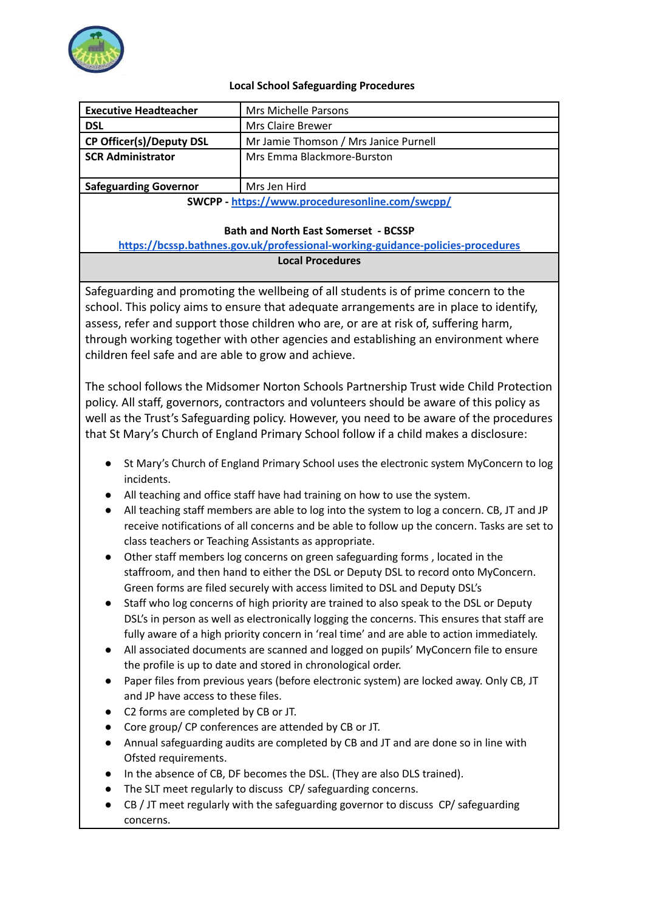

## **Local School Safeguarding Procedures**

| <b>Executive Headteacher</b><br><b>DSL</b>                                                                                                                                                                                                                                                                                                                                                                                                                                                                                                                                                                                                                                                                                                                                                                                                                                                                                                                                                                                                                                                                                                                                                                                                                                                                                                  | Mrs Michelle Parsons<br><b>Mrs Claire Brewer</b>                                    |
|---------------------------------------------------------------------------------------------------------------------------------------------------------------------------------------------------------------------------------------------------------------------------------------------------------------------------------------------------------------------------------------------------------------------------------------------------------------------------------------------------------------------------------------------------------------------------------------------------------------------------------------------------------------------------------------------------------------------------------------------------------------------------------------------------------------------------------------------------------------------------------------------------------------------------------------------------------------------------------------------------------------------------------------------------------------------------------------------------------------------------------------------------------------------------------------------------------------------------------------------------------------------------------------------------------------------------------------------|-------------------------------------------------------------------------------------|
|                                                                                                                                                                                                                                                                                                                                                                                                                                                                                                                                                                                                                                                                                                                                                                                                                                                                                                                                                                                                                                                                                                                                                                                                                                                                                                                                             |                                                                                     |
| <b>CP Officer(s)/Deputy DSL</b><br><b>SCR Administrator</b>                                                                                                                                                                                                                                                                                                                                                                                                                                                                                                                                                                                                                                                                                                                                                                                                                                                                                                                                                                                                                                                                                                                                                                                                                                                                                 | Mr Jamie Thomson / Mrs Janice Purnell<br>Mrs Emma Blackmore-Burston                 |
|                                                                                                                                                                                                                                                                                                                                                                                                                                                                                                                                                                                                                                                                                                                                                                                                                                                                                                                                                                                                                                                                                                                                                                                                                                                                                                                                             |                                                                                     |
| <b>Safeguarding Governor</b>                                                                                                                                                                                                                                                                                                                                                                                                                                                                                                                                                                                                                                                                                                                                                                                                                                                                                                                                                                                                                                                                                                                                                                                                                                                                                                                | Mrs Jen Hird                                                                        |
| SWCPP - https://www.proceduresonline.com/swcpp/                                                                                                                                                                                                                                                                                                                                                                                                                                                                                                                                                                                                                                                                                                                                                                                                                                                                                                                                                                                                                                                                                                                                                                                                                                                                                             |                                                                                     |
|                                                                                                                                                                                                                                                                                                                                                                                                                                                                                                                                                                                                                                                                                                                                                                                                                                                                                                                                                                                                                                                                                                                                                                                                                                                                                                                                             |                                                                                     |
| <b>Bath and North East Somerset - BCSSP</b>                                                                                                                                                                                                                                                                                                                                                                                                                                                                                                                                                                                                                                                                                                                                                                                                                                                                                                                                                                                                                                                                                                                                                                                                                                                                                                 |                                                                                     |
| https://bcssp.bathnes.gov.uk/professional-working-guidance-policies-procedures                                                                                                                                                                                                                                                                                                                                                                                                                                                                                                                                                                                                                                                                                                                                                                                                                                                                                                                                                                                                                                                                                                                                                                                                                                                              |                                                                                     |
| <b>Local Procedures</b>                                                                                                                                                                                                                                                                                                                                                                                                                                                                                                                                                                                                                                                                                                                                                                                                                                                                                                                                                                                                                                                                                                                                                                                                                                                                                                                     |                                                                                     |
|                                                                                                                                                                                                                                                                                                                                                                                                                                                                                                                                                                                                                                                                                                                                                                                                                                                                                                                                                                                                                                                                                                                                                                                                                                                                                                                                             |                                                                                     |
|                                                                                                                                                                                                                                                                                                                                                                                                                                                                                                                                                                                                                                                                                                                                                                                                                                                                                                                                                                                                                                                                                                                                                                                                                                                                                                                                             | Safeguarding and promoting the wellbeing of all students is of prime concern to the |
| school. This policy aims to ensure that adequate arrangements are in place to identify,                                                                                                                                                                                                                                                                                                                                                                                                                                                                                                                                                                                                                                                                                                                                                                                                                                                                                                                                                                                                                                                                                                                                                                                                                                                     |                                                                                     |
| assess, refer and support those children who are, or are at risk of, suffering harm,                                                                                                                                                                                                                                                                                                                                                                                                                                                                                                                                                                                                                                                                                                                                                                                                                                                                                                                                                                                                                                                                                                                                                                                                                                                        |                                                                                     |
| through working together with other agencies and establishing an environment where                                                                                                                                                                                                                                                                                                                                                                                                                                                                                                                                                                                                                                                                                                                                                                                                                                                                                                                                                                                                                                                                                                                                                                                                                                                          |                                                                                     |
| children feel safe and are able to grow and achieve.                                                                                                                                                                                                                                                                                                                                                                                                                                                                                                                                                                                                                                                                                                                                                                                                                                                                                                                                                                                                                                                                                                                                                                                                                                                                                        |                                                                                     |
|                                                                                                                                                                                                                                                                                                                                                                                                                                                                                                                                                                                                                                                                                                                                                                                                                                                                                                                                                                                                                                                                                                                                                                                                                                                                                                                                             |                                                                                     |
| The school follows the Midsomer Norton Schools Partnership Trust wide Child Protection                                                                                                                                                                                                                                                                                                                                                                                                                                                                                                                                                                                                                                                                                                                                                                                                                                                                                                                                                                                                                                                                                                                                                                                                                                                      |                                                                                     |
| policy. All staff, governors, contractors and volunteers should be aware of this policy as                                                                                                                                                                                                                                                                                                                                                                                                                                                                                                                                                                                                                                                                                                                                                                                                                                                                                                                                                                                                                                                                                                                                                                                                                                                  |                                                                                     |
| well as the Trust's Safeguarding policy. However, you need to be aware of the procedures                                                                                                                                                                                                                                                                                                                                                                                                                                                                                                                                                                                                                                                                                                                                                                                                                                                                                                                                                                                                                                                                                                                                                                                                                                                    |                                                                                     |
| that St Mary's Church of England Primary School follow if a child makes a disclosure:                                                                                                                                                                                                                                                                                                                                                                                                                                                                                                                                                                                                                                                                                                                                                                                                                                                                                                                                                                                                                                                                                                                                                                                                                                                       |                                                                                     |
| St Mary's Church of England Primary School uses the electronic system MyConcern to log<br>incidents.<br>All teaching and office staff have had training on how to use the system.<br>All teaching staff members are able to log into the system to log a concern. CB, JT and JP<br>$\bullet$<br>receive notifications of all concerns and be able to follow up the concern. Tasks are set to<br>class teachers or Teaching Assistants as appropriate.<br>Other staff members log concerns on green safeguarding forms, located in the<br>staffroom, and then hand to either the DSL or Deputy DSL to record onto MyConcern.<br>Green forms are filed securely with access limited to DSL and Deputy DSL's<br>Staff who log concerns of high priority are trained to also speak to the DSL or Deputy<br>DSL's in person as well as electronically logging the concerns. This ensures that staff are<br>fully aware of a high priority concern in 'real time' and are able to action immediately.<br>All associated documents are scanned and logged on pupils' MyConcern file to ensure<br>$\bullet$<br>the profile is up to date and stored in chronological order.<br>Paper files from previous years (before electronic system) are locked away. Only CB, JT<br>and JP have access to these files.<br>C2 forms are completed by CB or JT. |                                                                                     |
| Core group/ CP conferences are attended by CB or JT.                                                                                                                                                                                                                                                                                                                                                                                                                                                                                                                                                                                                                                                                                                                                                                                                                                                                                                                                                                                                                                                                                                                                                                                                                                                                                        |                                                                                     |
| Annual safeguarding audits are completed by CB and JT and are done so in line with                                                                                                                                                                                                                                                                                                                                                                                                                                                                                                                                                                                                                                                                                                                                                                                                                                                                                                                                                                                                                                                                                                                                                                                                                                                          |                                                                                     |
| Ofsted requirements.                                                                                                                                                                                                                                                                                                                                                                                                                                                                                                                                                                                                                                                                                                                                                                                                                                                                                                                                                                                                                                                                                                                                                                                                                                                                                                                        |                                                                                     |
| In the absence of CB, DF becomes the DSL. (They are also DLS trained).                                                                                                                                                                                                                                                                                                                                                                                                                                                                                                                                                                                                                                                                                                                                                                                                                                                                                                                                                                                                                                                                                                                                                                                                                                                                      |                                                                                     |
|                                                                                                                                                                                                                                                                                                                                                                                                                                                                                                                                                                                                                                                                                                                                                                                                                                                                                                                                                                                                                                                                                                                                                                                                                                                                                                                                             | The SLT meet regularly to discuss CP/ safeguarding concerns.                        |

● CB / JT meet regularly with the safeguarding governor to discuss CP/ safeguarding concerns.